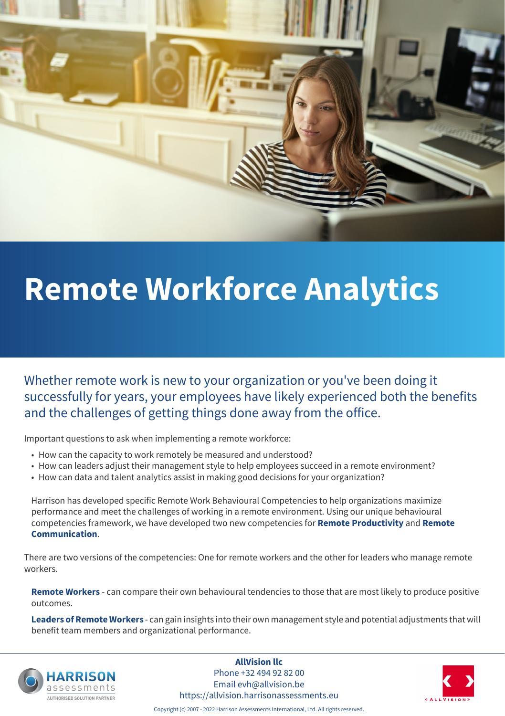

# **Remote Workforce Analytics**

Whether remote work is new to your organization or you've been doing it successfully for years, your employees have likely experienced both the benefits and the challenges of getting things done away from the office.

Important questions to ask when implementing a remote workforce:

- How can the capacity to work remotely be measured and understood?
- How can leaders adjust their management style to help employees succeed in a remote environment?
- How can data and talent analytics assist in making good decisions for your organization?

Harrison has developed specific Remote Work Behavioural Competencies to help organizations maximize performance and meet the challenges of working in a remote environment. Using our unique behavioural competencies framework, we have developed two new competencies for **Remote Productivity** and **Remote Communication**.

There are two versions of the competencies: One for remote workers and the other for leaders who manage remote workers.

**Remote Workers** - can compare their own behavioural tendencies to those that are most likely to produce positive outcomes.

**Leaders of Remote Workers** - can gain insights into their own management style and potential adjustments that will benefit team members and organizational performance.



**AllVision llc** Phone +32 494 92 82 00 Email evh@allvision.be https://allvision.harrisonassessments.eu